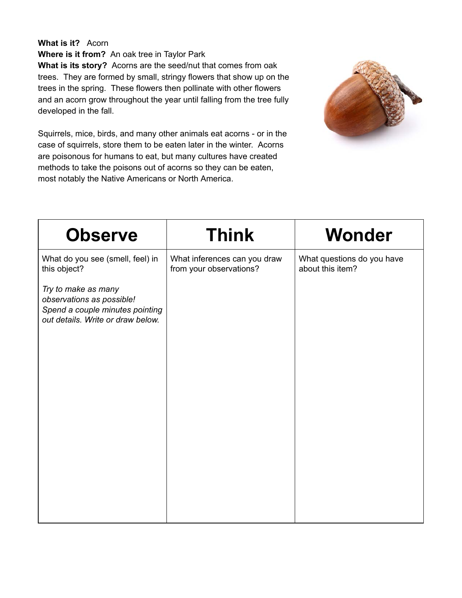## **What is it?** Acorn

**Where is it from?** An oak tree in Taylor Park

**What is its story?** Acorns are the seed/nut that comes from oak trees. They are formed by small, stringy flowers that show up on the trees in the spring. These flowers then pollinate with other flowers and an acorn grow throughout the year until falling from the tree fully developed in the fall.

Squirrels, mice, birds, and many other animals eat acorns - or in the case of squirrels, store them to be eaten later in the winter. Acorns are poisonous for humans to eat, but many cultures have created methods to take the poisons out of acorns so they can be eaten, most notably the Native Americans or North America.



| <b>Observe</b>                                                                                                           | <b>Think</b>                                            | Wonder                                         |
|--------------------------------------------------------------------------------------------------------------------------|---------------------------------------------------------|------------------------------------------------|
| What do you see (smell, feel) in<br>this object?                                                                         | What inferences can you draw<br>from your observations? | What questions do you have<br>about this item? |
| Try to make as many<br>observations as possible!<br>Spend a couple minutes pointing<br>out details. Write or draw below. |                                                         |                                                |
|                                                                                                                          |                                                         |                                                |
|                                                                                                                          |                                                         |                                                |
|                                                                                                                          |                                                         |                                                |
|                                                                                                                          |                                                         |                                                |
|                                                                                                                          |                                                         |                                                |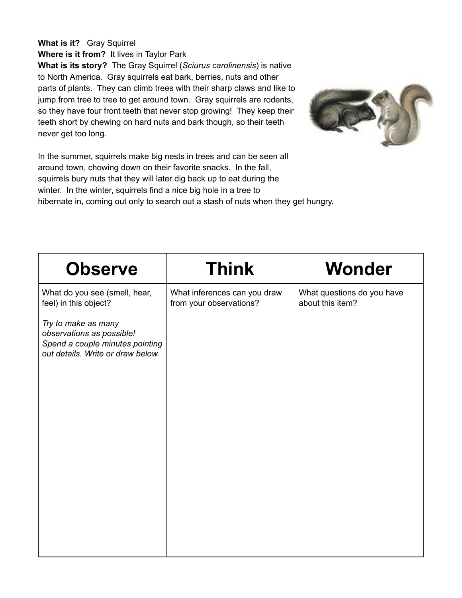## **What is it?** Gray Squirrel

**Where is it from?** It lives in Taylor Park

**What is its story?** The Gray Squirrel ( *Sciurus carolinensis* ) is native to North America. Gray squirrels eat bark, berries, nuts and other parts of plants. They can climb trees with their sharp claws and like to jump from tree to tree to get around town. Gray squirrels are rodents, so they have four front teeth that never stop growing! They keep their teeth short by chewing on hard nuts and bark though, so their teeth never get too long.



In the summer, squirrels make big nests in trees and can be seen all around town, chowing down on their favorite snacks. In the fall, squirrels bury nuts that they will later dig back up to eat during the winter. In the winter, squirrels find a nice big hole in a tree to hibernate in, coming out only to search out a stash of nuts when they get hungry.

| <b>Observe</b>                                                                                                           | <b>Think</b>                                            | Wonder                                         |
|--------------------------------------------------------------------------------------------------------------------------|---------------------------------------------------------|------------------------------------------------|
| What do you see (smell, hear,<br>feel) in this object?                                                                   | What inferences can you draw<br>from your observations? | What questions do you have<br>about this item? |
| Try to make as many<br>observations as possible!<br>Spend a couple minutes pointing<br>out details. Write or draw below. |                                                         |                                                |
|                                                                                                                          |                                                         |                                                |
|                                                                                                                          |                                                         |                                                |
|                                                                                                                          |                                                         |                                                |
|                                                                                                                          |                                                         |                                                |
|                                                                                                                          |                                                         |                                                |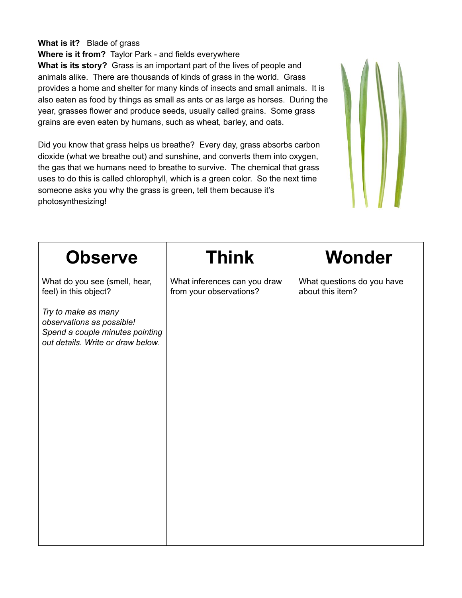#### **What is it?** Blade of grass

**Where is it from?** Taylor Park - and fields everywhere **What is its story?** Grass is an important part of the lives of people and animals alike. There are thousands of kinds of grass in the world. Grass provides a home and shelter for many kinds of insects and small animals. It is also eaten as food by things as small as ants or as large as horses. During the year, grasses flower and produce seeds, usually called grains. Some grass grains are even eaten by humans, such as wheat, barley, and oats.

Did you know that grass helps us breathe? Every day, grass absorbs carbon dioxide (what we breathe out) and sunshine, and converts them into oxygen, the gas that we humans need to breathe to survive. The chemical that grass uses to do this is called chlorophyll, which is a green color. So the next time someone asks you why the grass is green, tell them because it's photosynthesizing!



| <b>Observe</b>                                                                                                           | <b>Think</b>                                            | <b>Wonder</b>                                  |
|--------------------------------------------------------------------------------------------------------------------------|---------------------------------------------------------|------------------------------------------------|
| What do you see (smell, hear,<br>feel) in this object?                                                                   | What inferences can you draw<br>from your observations? | What questions do you have<br>about this item? |
| Try to make as many<br>observations as possible!<br>Spend a couple minutes pointing<br>out details. Write or draw below. |                                                         |                                                |
|                                                                                                                          |                                                         |                                                |
|                                                                                                                          |                                                         |                                                |
|                                                                                                                          |                                                         |                                                |
|                                                                                                                          |                                                         |                                                |
|                                                                                                                          |                                                         |                                                |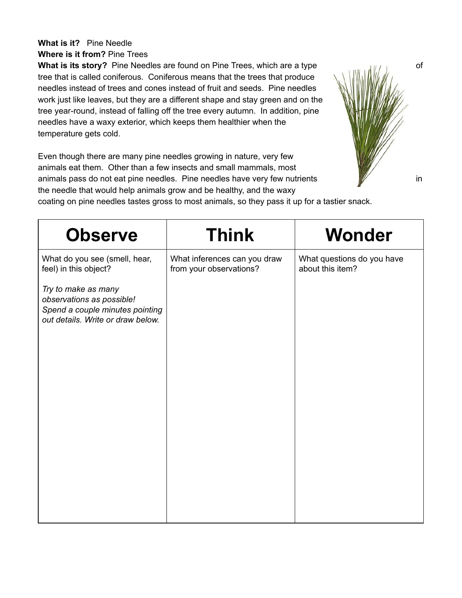# **What is it?** Pine Needle

**Where is it from?** Pine Trees

**What is its story?** Pine Needles are found on Pine Trees, which are a type *with the story***?** Pine Needles are found on Pine Trees, which are a type tree that is called coniferous. Coniferous means that the trees that produce needles instead of trees and cones instead of fruit and seeds. Pine needles work just like leaves, but they are a different shape and stay green and on the tree year-round, instead of falling off the tree every autumn. In addition, pine needles have a waxy exterior, which keeps them healthier when the temperature gets cold.

Even though there are many pine needles growing in nature, very few animals eat them. Other than a few insects and small mammals, most animals pass do not eat pine needles. Pine needles have very few nutrients  $\mathbb{W}$  in the needle that would help animals grow and be healthy, and the waxy coating on pine needles tastes gross to most animals, so they pass it up for a tastier snack.



| <b>Observe</b>                                                                                                           | <b>Think</b>                                            | Wonder                                         |
|--------------------------------------------------------------------------------------------------------------------------|---------------------------------------------------------|------------------------------------------------|
| What do you see (smell, hear,<br>feel) in this object?                                                                   | What inferences can you draw<br>from your observations? | What questions do you have<br>about this item? |
| Try to make as many<br>observations as possible!<br>Spend a couple minutes pointing<br>out details. Write or draw below. |                                                         |                                                |
|                                                                                                                          |                                                         |                                                |
|                                                                                                                          |                                                         |                                                |
|                                                                                                                          |                                                         |                                                |
|                                                                                                                          |                                                         |                                                |
|                                                                                                                          |                                                         |                                                |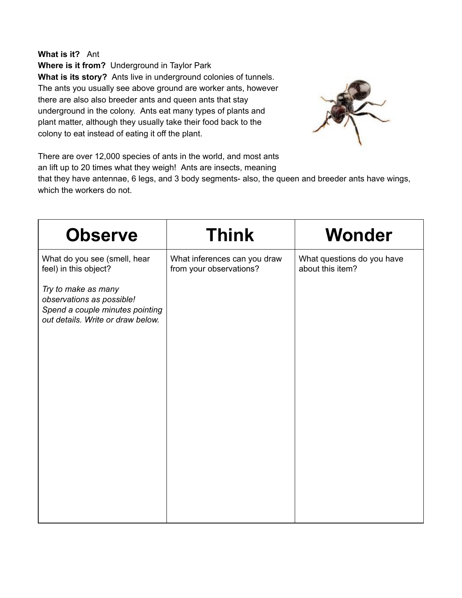**What is it?** Ant

**Where is it from?** Underground in Taylor Park **What is its story?** Ants live in underground colonies of tunnels. The ants you usually see above ground are worker ants, however there are also also breeder ants and queen ants that stay underground in the colony. Ants eat many types of plants and plant matter, although they usually take their food back to the colony to eat instead of eating it off the plant.



There are over 12,000 species of ants in the world, and most ants an lift up to 20 times what they weigh! Ants are insects, meaning

that they have antennae, 6 legs, and 3 body segments- also, the queen and breeder ants have wings, which the workers do not.

| <b>Observe</b>                                                                                                           | <b>Think</b>                                            | <b>Wonder</b>                                  |
|--------------------------------------------------------------------------------------------------------------------------|---------------------------------------------------------|------------------------------------------------|
| What do you see (smell, hear<br>feel) in this object?                                                                    | What inferences can you draw<br>from your observations? | What questions do you have<br>about this item? |
| Try to make as many<br>observations as possible!<br>Spend a couple minutes pointing<br>out details. Write or draw below. |                                                         |                                                |
|                                                                                                                          |                                                         |                                                |
|                                                                                                                          |                                                         |                                                |